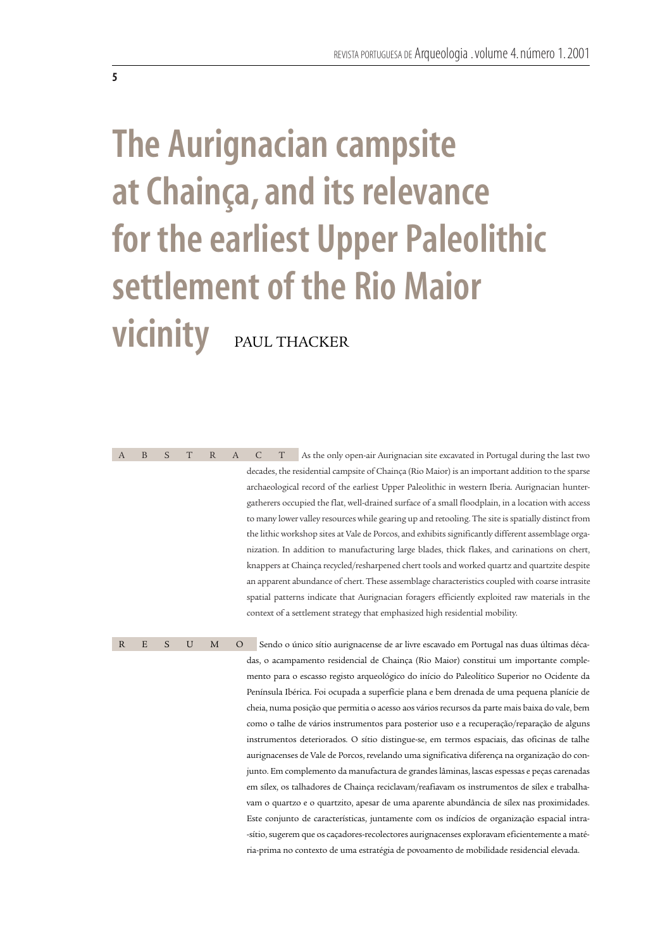# **The Aurignacian campsite at Chainça, and its relevance for the earliest Upper Paleolithic settlement of the Rio Maior vicinity** PAUL THACKER

**5**

ABSTRACT As the only open-air Aurignacian site excavated in Portugal during the last two decades, the residential campsite of Chainça (Rio Maior) is an important addition to the sparse archaeological record of the earliest Upper Paleolithic in western Iberia. Aurignacian huntergatherers occupied the flat, well-drained surface of a small floodplain, in a location with access to many lower valley resources while gearing up and retooling. The site is spatially distinct from the lithic workshop sites at Vale de Porcos, and exhibits significantly different assemblage organization. In addition to manufacturing large blades, thick flakes, and carinations on chert, knappers at Chainça recycled/resharpened chert tools and worked quartz and quartzite despite an apparent abundance of chert. These assemblage characteristics coupled with coarse intrasite spatial patterns indicate that Aurignacian foragers efficiently exploited raw materials in the context of a settlement strategy that emphasized high residential mobility.

R E S U M O Sendo o único sítio aurignacense de ar livre escavado em Portugal nas duas últimas décadas, o acampamento residencial de Chainça (Rio Maior) constitui um importante complemento para o escasso registo arqueológico do início do Paleolítico Superior no Ocidente da Península Ibérica. Foi ocupada a superfície plana e bem drenada de uma pequena planície de cheia, numa posição que permitia o acesso aos vários recursos da parte mais baixa do vale, bem como o talhe de vários instrumentos para posterior uso e a recuperação/reparação de alguns instrumentos deteriorados. O sítio distingue-se, em termos espaciais, das oficinas de talhe aurignacenses de Vale de Porcos, revelando uma significativa diferença na organização do conjunto. Em complemento da manufactura de grandes lâminas, lascas espessas e peças carenadas em sílex, os talhadores de Chainça reciclavam/reafiavam os instrumentos de sílex e trabalhavam o quartzo e o quartzito, apesar de uma aparente abundância de sílex nas proximidades. Este conjunto de características, juntamente com os indícios de organização espacial intra- -sítio, sugerem que os caçadores-recolectores aurignacenses exploravam eficientemente a matéria-prima no contexto de uma estratégia de povoamento de mobilidade residencial elevada.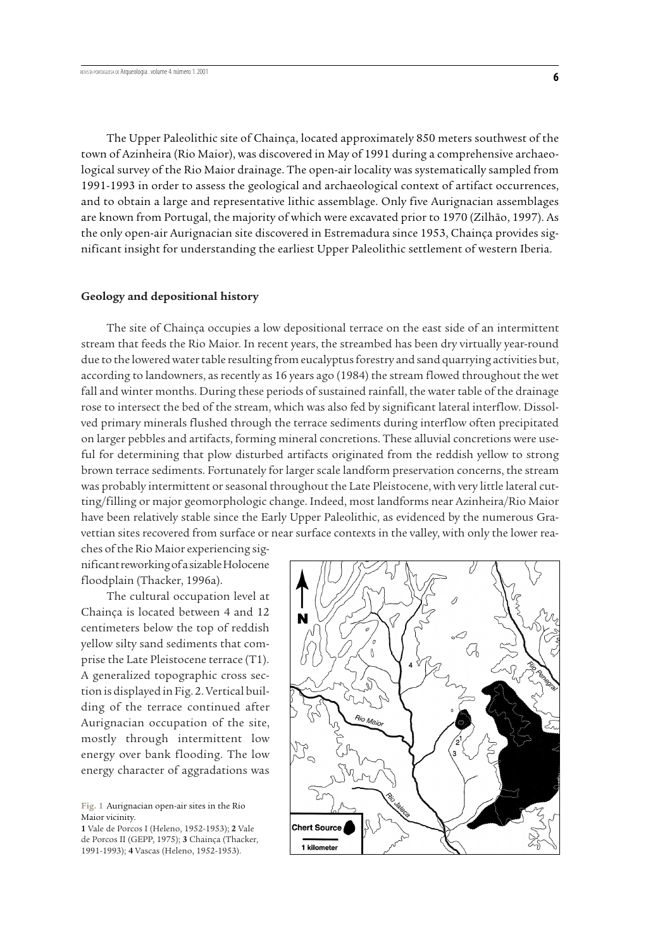The Upper Paleolithic site of Chainça, located approximately 850 meters southwest of the town of Azinheira (Rio Maior), was discovered in May of 1991 during a comprehensive archaeological survey of the Rio Maior drainage. The open-air locality was systematically sampled from 1991-1993 in order to assess the geological and archaeological context of artifact occurrences, and to obtain a large and representative lithic assemblage. Only five Aurignacian assemblages

are known from Portugal, the majority of which were excavated prior to 1970 (Zilhão, 1997). As the only open-air Aurignacian site discovered in Estremadura since 1953, Chainça provides significant insight for understanding the earliest Upper Paleolithic settlement of western Iberia.

# **Geology and depositional history**

The site of Chainça occupies a low depositional terrace on the east side of an intermittent stream that feeds the Rio Maior. In recent years, the streambed has been dry virtually year-round due to the lowered water table resulting from eucalyptus forestry and sand quarrying activities but, according to landowners, as recently as 16 years ago (1984) the stream flowed throughout the wet fall and winter months. During these periods of sustained rainfall, the water table of the drainage rose to intersect the bed of the stream, which was also fed by significant lateral interflow. Dissolved primary minerals flushed through the terrace sediments during interflow often precipitated on larger pebbles and artifacts, forming mineral concretions. These alluvial concretions were useful for determining that plow disturbed artifacts originated from the reddish yellow to strong brown terrace sediments. Fortunately for larger scale landform preservation concerns, the stream was probably intermittent or seasonal throughout the Late Pleistocene, with very little lateral cutting/filling or major geomorphologic change. Indeed, most landforms near Azinheira/Rio Maior have been relatively stable since the Early Upper Paleolithic, as evidenced by the numerous Gravettian sites recovered from surface or near surface contexts in the valley, with only the lower rea-

ches of the Rio Maior experiencing significant reworking of a sizable Holocene floodplain (Thacker, 1996a).

The cultural occupation level at Chainça is located between 4 and 12 centimeters below the top of reddish yellow silty sand sediments that comprise the Late Pleistocene terrace (T1). A generalized topographic cross section is displayed in Fig. 2. Vertical building of the terrace continued after Aurignacian occupation of the site, mostly through intermittent low energy over bank flooding. The low energy character of aggradations was

**Fig. 1** Aurignacian open-air sites in the Rio Maior vicinity.

**1** Vale de Porcos I (Heleno, 1952-1953); **2** Vale de Porcos II (GEPP, 1975); **3** Chainça (Thacker, 1991-1993); **4** Vascas (Heleno, 1952-1953).

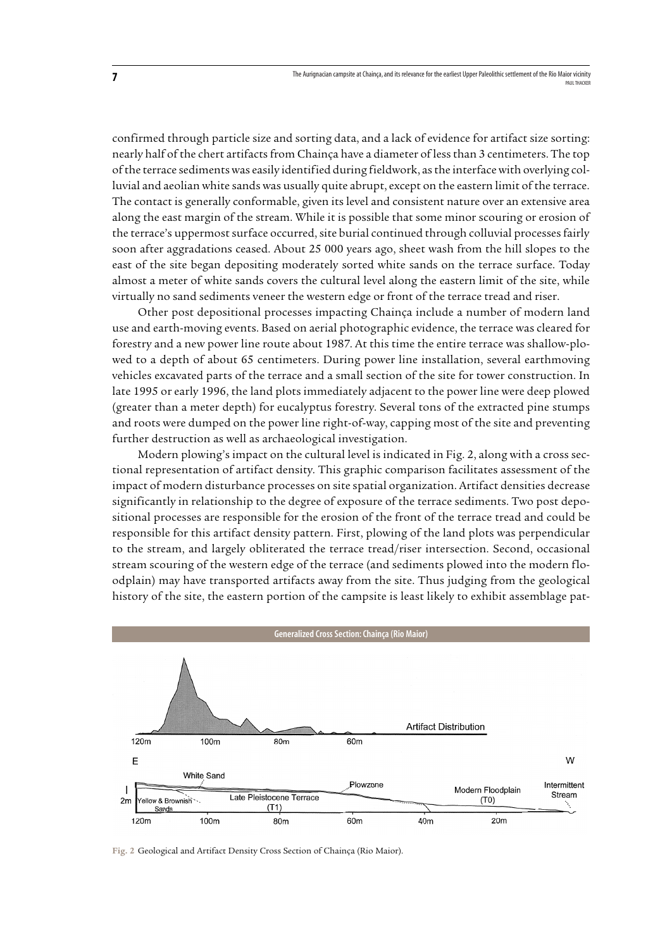confirmed through particle size and sorting data, and a lack of evidence for artifact size sorting: nearly half of the chert artifacts from Chainça have a diameter of less than 3 centimeters. The top of the terrace sediments was easily identified during fieldwork, as the interface with overlying colluvial and aeolian white sands was usually quite abrupt, except on the eastern limit of the terrace. The contact is generally conformable, given its level and consistent nature over an extensive area along the east margin of the stream. While it is possible that some minor scouring or erosion of the terrace's uppermost surface occurred, site burial continued through colluvial processes fairly soon after aggradations ceased. About 25 000 years ago, sheet wash from the hill slopes to the east of the site began depositing moderately sorted white sands on the terrace surface. Today almost a meter of white sands covers the cultural level along the eastern limit of the site, while virtually no sand sediments veneer the western edge or front of the terrace tread and riser.

Other post depositional processes impacting Chainça include a number of modern land use and earth-moving events. Based on aerial photographic evidence, the terrace was cleared for forestry and a new power line route about 1987. At this time the entire terrace was shallow-plowed to a depth of about 65 centimeters. During power line installation, several earthmoving vehicles excavated parts of the terrace and a small section of the site for tower construction. In late 1995 or early 1996, the land plots immediately adjacent to the power line were deep plowed (greater than a meter depth) for eucalyptus forestry. Several tons of the extracted pine stumps and roots were dumped on the power line right-of-way, capping most of the site and preventing further destruction as well as archaeological investigation.

Modern plowing's impact on the cultural level is indicated in Fig. 2, along with a cross sectional representation of artifact density. This graphic comparison facilitates assessment of the impact of modern disturbance processes on site spatial organization. Artifact densities decrease significantly in relationship to the degree of exposure of the terrace sediments. Two post depositional processes are responsible for the erosion of the front of the terrace tread and could be responsible for this artifact density pattern. First, plowing of the land plots was perpendicular to the stream, and largely obliterated the terrace tread/riser intersection. Second, occasional stream scouring of the western edge of the terrace (and sediments plowed into the modern floodplain) may have transported artifacts away from the site. Thus judging from the geological history of the site, the eastern portion of the campsite is least likely to exhibit assemblage pat-



**Fig. 2** Geological and Artifact Density Cross Section of Chainça (Rio Maior).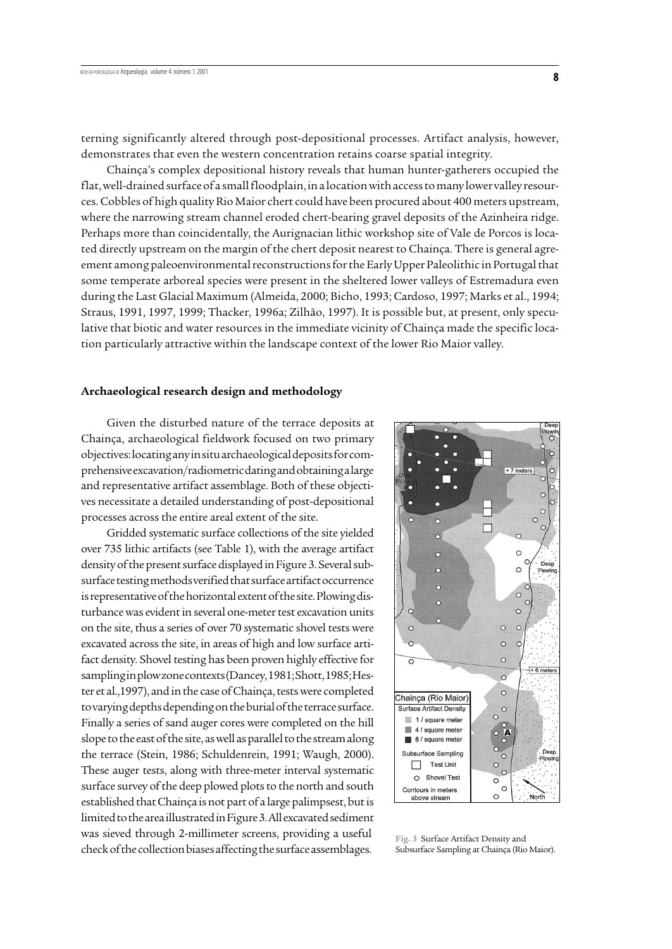terning significantly altered through post-depositional processes. Artifact analysis, however, demonstrates that even the western concentration retains coarse spatial integrity.

Chainça's complex depositional history reveals that human hunter-gatherers occupied the flat, well-drained surface of a small floodplain, in a location with access to many lower valley resources. Cobbles of high quality Rio Maior chert could have been procured about 400 meters upstream, where the narrowing stream channel eroded chert-bearing gravel deposits of the Azinheira ridge. Perhaps more than coincidentally, the Aurignacian lithic workshop site of Vale de Porcos is located directly upstream on the margin of the chert deposit nearest to Chainça. There is general agreement among paleoenvironmental reconstructions for the Early Upper Paleolithic in Portugal that some temperate arboreal species were present in the sheltered lower valleys of Estremadura even during the Last Glacial Maximum (Almeida, 2000; Bicho, 1993; Cardoso, 1997; Marks et al., 1994; Straus, 1991, 1997, 1999; Thacker, 1996a; Zilhão, 1997). It is possible but, at present, only speculative that biotic and water resources in the immediate vicinity of Chainça made the specific location particularly attractive within the landscape context of the lower Rio Maior valley.

#### **Archaeological research design and methodology**

Given the disturbed nature of the terrace deposits at Chainça, archaeological fieldwork focused on two primary objectives: locating any in situ archaeological deposits for comprehensive excavation/radiometric dating and obtaining a large and representative artifact assemblage. Both of these objectives necessitate a detailed understanding of post-depositional processes across the entire areal extent of the site.

Gridded systematic surface collections of the site yielded over 735 lithic artifacts (see Table 1), with the average artifact density of the present surface displayed in Figure 3. Several subsurface testing methods verified that surface artifact occurrence is representative of the horizontal extent of the site. Plowing disturbance was evident in several one-meter test excavation units on the site, thus a series of over 70 systematic shovel tests were excavated across the site, in areas of high and low surface artifact density. Shovel testing has been proven highly effective for sampling in plow zone contexts (Dancey, 1981; Shott, 1985; Hester et al.,1997), and in the case of Chainça, tests were completed to varying depths depending on the burial of the terrace surface. Finally a series of sand auger cores were completed on the hill slope to the east of the site, as well as parallel to the stream along the terrace (Stein, 1986; Schuldenrein, 1991; Waugh, 2000). These auger tests, along with three-meter interval systematic surface survey of the deep plowed plots to the north and south established that Chainça is not part of a large palimpsest, but is limited to the area illustrated in Figure 3. All excavated sediment was sieved through 2-millimeter screens, providing a useful check of the collection biases affecting the surface assemblages.



**Fig. 3** Surface Artifact Density and Subsurface Sampling at Chainça (Rio Maior).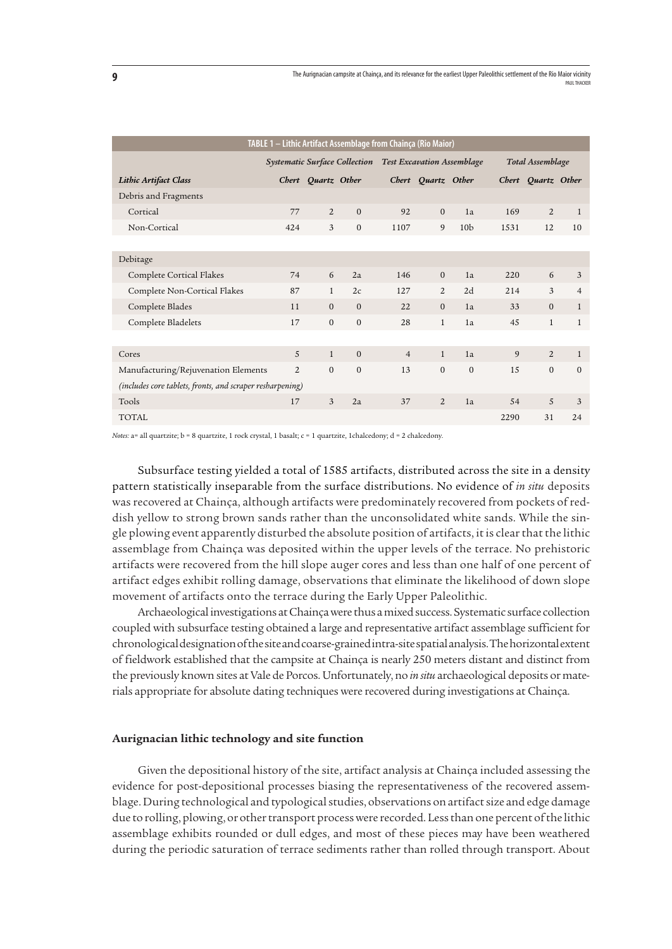| TABLE 1 - Lithic Artifact Assemblage from Chainça (Rio Maior) |                                      |                    |                                   |                |                    |                 |                  |                    |                |  |
|---------------------------------------------------------------|--------------------------------------|--------------------|-----------------------------------|----------------|--------------------|-----------------|------------------|--------------------|----------------|--|
|                                                               | <b>Systematic Surface Collection</b> |                    | <b>Test Excavation Assemblage</b> |                |                    |                 | Total Assemblage |                    |                |  |
| Lithic Artifact Class                                         |                                      | Chert Quartz Other |                                   |                | Chert Quartz Other |                 |                  | Chert Quartz Other |                |  |
| Debris and Fragments                                          |                                      |                    |                                   |                |                    |                 |                  |                    |                |  |
| Cortical                                                      | 77                                   | 2                  | $\mathbf{0}$                      | 92             | $\mathbf{0}$       | 1a              | 169              | $\overline{2}$     | $\mathbf{1}$   |  |
| Non-Cortical                                                  | 424                                  | 3                  | $\mathbf{0}$                      | 1107           | $\overline{9}$     | 10 <sub>b</sub> | 1531             | 12                 | 10             |  |
|                                                               |                                      |                    |                                   |                |                    |                 |                  |                    |                |  |
| Debitage                                                      |                                      |                    |                                   |                |                    |                 |                  |                    |                |  |
| Complete Cortical Flakes                                      | 74                                   | 6                  | 2a                                | 146            | $\Omega$           | 1a              | 220              | 6                  | 3              |  |
| Complete Non-Cortical Flakes                                  | 87                                   | $\mathbf{1}$       | 2c                                | 127            | 2                  | 2d              | 214              | 3                  | $\overline{4}$ |  |
| Complete Blades                                               | 11                                   | $\Omega$           | $\mathbf{0}$                      | 22             | $\mathbf{0}$       | 1a              | 33               | $\mathbf{0}$       | $\mathbf{1}$   |  |
| Complete Bladelets                                            | 17                                   | $\mathbf{0}$       | $\mathbf{0}$                      | 28             | $\mathbf{1}$       | 1a              | 45               | $\mathbf{1}$       | $\mathbf{1}$   |  |
|                                                               |                                      |                    |                                   |                |                    |                 |                  |                    |                |  |
| Cores                                                         | 5                                    | $\mathbf{1}$       | $\mathbf{0}$                      | $\overline{4}$ | $\mathbf{1}$       | 1a              | 9                | 2                  | $\mathbf{1}$   |  |
| Manufacturing/Rejuvenation Elements                           | $\overline{2}$                       | $\Omega$           | $\mathbf{0}$                      | 13             | $\mathbf{0}$       | $\mathbf{0}$    | 1.5              | $\overline{0}$     | $\mathbf{0}$   |  |
| (includes core tablets, fronts, and scraper resharpening)     |                                      |                    |                                   |                |                    |                 |                  |                    |                |  |
| Tools                                                         | 17                                   | 3                  | 2a                                | 37             | 2                  | 1a              | 54               | 5                  | $\overline{3}$ |  |
| <b>TOTAL</b>                                                  |                                      |                    |                                   |                |                    |                 | 2290             | 31                 | 24             |  |

*Notes*: a= all quartzite; b = 8 quartzite, 1 rock crystal, 1 basalt; c = 1 quartzite, 1chalcedony; d = 2 chalcedony.

Subsurface testing yielded a total of 1585 artifacts, distributed across the site in a density pattern statistically inseparable from the surface distributions. No evidence of *in situ* deposits was recovered at Chainça, although artifacts were predominately recovered from pockets of reddish yellow to strong brown sands rather than the unconsolidated white sands. While the single plowing event apparently disturbed the absolute position of artifacts, it is clear that the lithic assemblage from Chainça was deposited within the upper levels of the terrace. No prehistoric artifacts were recovered from the hill slope auger cores and less than one half of one percent of artifact edges exhibit rolling damage, observations that eliminate the likelihood of down slope movement of artifacts onto the terrace during the Early Upper Paleolithic.

Archaeological investigations at Chainça were thus a mixed success. Systematic surface collection coupled with subsurface testing obtained a large and representative artifact assemblage sufficient for chronological designation of the site and coarse-grained intra-site spatial analysis. The horizontal extent of fieldwork established that the campsite at Chainça is nearly 250 meters distant and distinct from the previously known sites at Vale de Porcos. Unfortunately, no *in situ* archaeological deposits or materials appropriate for absolute dating techniques were recovered during investigations at Chainça.

## **Aurignacian lithic technology and site function**

Given the depositional history of the site, artifact analysis at Chainça included assessing the evidence for post-depositional processes biasing the representativeness of the recovered assemblage. During technological and typological studies, observations on artifact size and edge damage due to rolling, plowing, or other transport process were recorded. Less than one percent of the lithic assemblage exhibits rounded or dull edges, and most of these pieces may have been weathered during the periodic saturation of terrace sediments rather than rolled through transport. About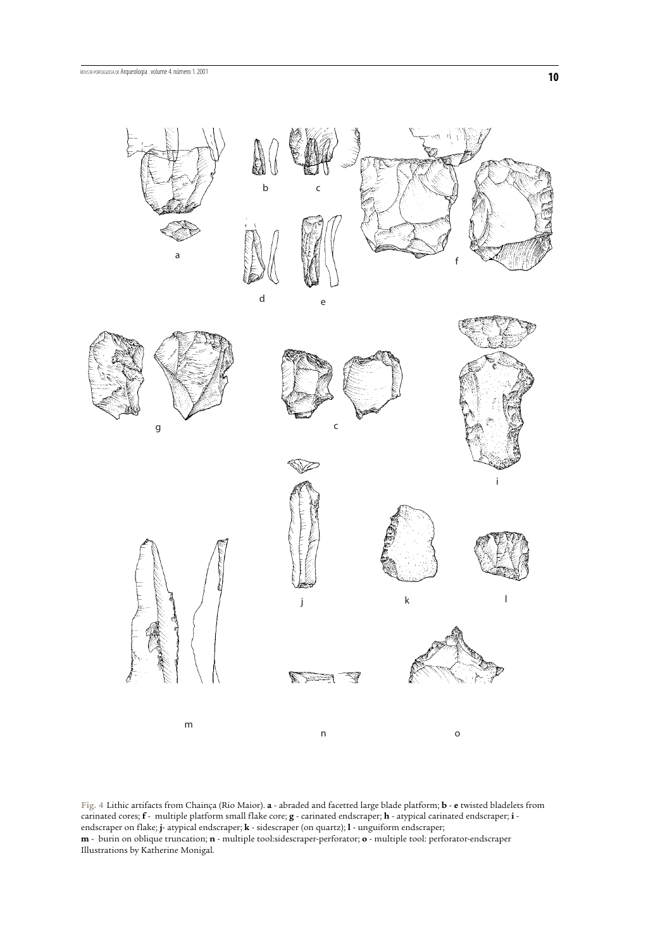

**Fig. 4** Lithic artifacts from Chainça (Rio Maior). **a** - abraded and facetted large blade platform; **b** - **e** twisted bladelets from carinated cores; **f** - multiple platform small flake core; **g** - carinated endscraper; **h** - atypical carinated endscraper; **i** endscraper on flake; **j**- atypical endscraper; **k** - sidescraper (on quartz); **l** - unguiform endscraper; **m** - burin on oblique truncation; **n** - multiple tool:sidescraper-perforator; **o** - multiple tool: perforator-endscraper Illustrations by Katherine Monigal.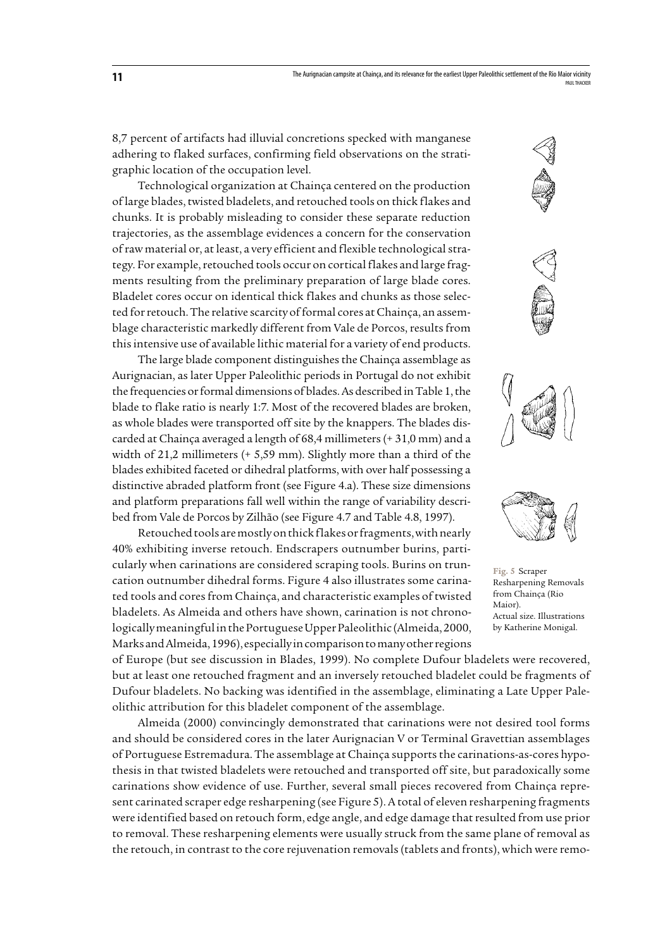8,7 percent of artifacts had illuvial concretions specked with manganese adhering to flaked surfaces, confirming field observations on the stratigraphic location of the occupation level.

Technological organization at Chainça centered on the production of large blades, twisted bladelets, and retouched tools on thick flakes and chunks. It is probably misleading to consider these separate reduction trajectories, as the assemblage evidences a concern for the conservation of raw material or, at least, a very efficient and flexible technological strategy. For example, retouched tools occur on cortical flakes and large fragments resulting from the preliminary preparation of large blade cores. Bladelet cores occur on identical thick flakes and chunks as those selected for retouch. The relative scarcity of formal cores at Chainça, an assemblage characteristic markedly different from Vale de Porcos, results from this intensive use of available lithic material for a variety of end products.

The large blade component distinguishes the Chainça assemblage as Aurignacian, as later Upper Paleolithic periods in Portugal do not exhibit the frequencies or formal dimensions of blades. As described in Table 1, the blade to flake ratio is nearly 1:7. Most of the recovered blades are broken, as whole blades were transported off site by the knappers. The blades discarded at Chainça averaged a length of 68,4 millimeters (+ 31,0 mm) and a width of 21,2 millimeters (+ 5,59 mm). Slightly more than a third of the blades exhibited faceted or dihedral platforms, with over half possessing a distinctive abraded platform front (see Figure 4.a). These size dimensions and platform preparations fall well within the range of variability described from Vale de Porcos by Zilhão (see Figure 4.7 and Table 4.8, 1997).

Retouched tools are mostly on thick flakes or fragments, with nearly 40% exhibiting inverse retouch. Endscrapers outnumber burins, particularly when carinations are considered scraping tools. Burins on truncation outnumber dihedral forms. Figure 4 also illustrates some carinated tools and cores from Chainça, and characteristic examples of twisted bladelets. As Almeida and others have shown, carination is not chronologically meaningful in the Portuguese Upper Paleolithic (Almeida, 2000, Marks and Almeida, 1996), especially in comparison to many other regions



of Europe (but see discussion in Blades, 1999). No complete Dufour bladelets were recovered, but at least one retouched fragment and an inversely retouched bladelet could be fragments of Dufour bladelets. No backing was identified in the assemblage, eliminating a Late Upper Paleolithic attribution for this bladelet component of the assemblage.

Almeida (2000) convincingly demonstrated that carinations were not desired tool forms and should be considered cores in the later Aurignacian V or Terminal Gravettian assemblages of Portuguese Estremadura. The assemblage at Chainça supports the carinations-as-cores hypothesis in that twisted bladelets were retouched and transported off site, but paradoxically some carinations show evidence of use. Further, several small pieces recovered from Chainça represent carinated scraper edge resharpening (see Figure 5). A total of eleven resharpening fragments were identified based on retouch form, edge angle, and edge damage that resulted from use prior to removal. These resharpening elements were usually struck from the same plane of removal as the retouch, in contrast to the core rejuvenation removals (tablets and fronts), which were remo-







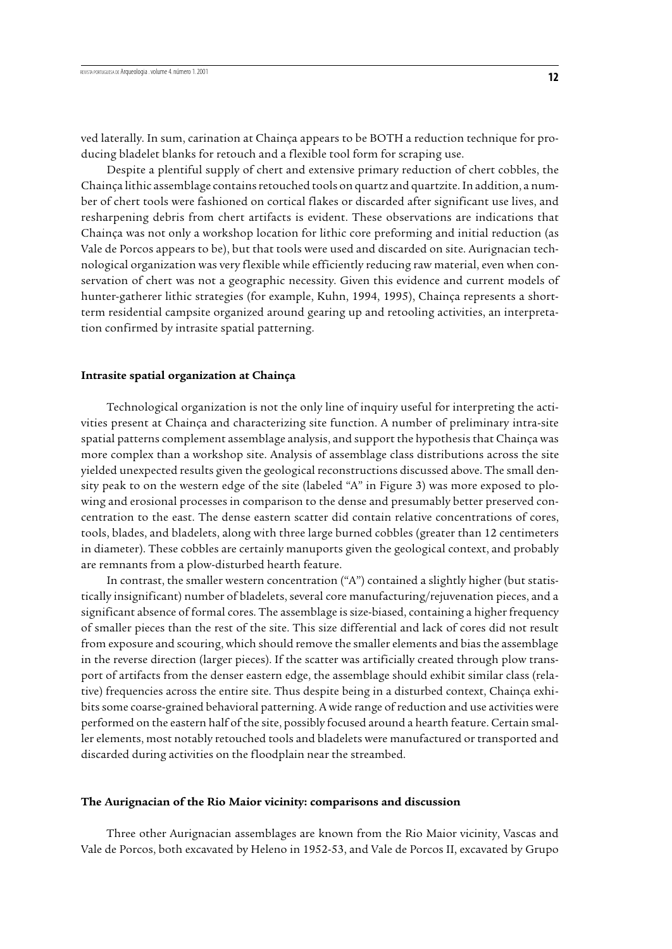ved laterally. In sum, carination at Chainça appears to be BOTH a reduction technique for producing bladelet blanks for retouch and a flexible tool form for scraping use.

Despite a plentiful supply of chert and extensive primary reduction of chert cobbles, the Chainça lithic assemblage contains retouched tools on quartz and quartzite. In addition, a number of chert tools were fashioned on cortical flakes or discarded after significant use lives, and resharpening debris from chert artifacts is evident. These observations are indications that Chainça was not only a workshop location for lithic core preforming and initial reduction (as Vale de Porcos appears to be), but that tools were used and discarded on site. Aurignacian technological organization was very flexible while efficiently reducing raw material, even when conservation of chert was not a geographic necessity. Given this evidence and current models of hunter-gatherer lithic strategies (for example, Kuhn, 1994, 1995), Chainça represents a shortterm residential campsite organized around gearing up and retooling activities, an interpretation confirmed by intrasite spatial patterning.

## **Intrasite spatial organization at Chainça**

Technological organization is not the only line of inquiry useful for interpreting the activities present at Chainça and characterizing site function. A number of preliminary intra-site spatial patterns complement assemblage analysis, and support the hypothesis that Chainça was more complex than a workshop site. Analysis of assemblage class distributions across the site yielded unexpected results given the geological reconstructions discussed above. The small density peak to on the western edge of the site (labeled "A" in Figure 3) was more exposed to plowing and erosional processes in comparison to the dense and presumably better preserved concentration to the east. The dense eastern scatter did contain relative concentrations of cores, tools, blades, and bladelets, along with three large burned cobbles (greater than 12 centimeters in diameter). These cobbles are certainly manuports given the geological context, and probably are remnants from a plow-disturbed hearth feature.

In contrast, the smaller western concentration ("A") contained a slightly higher (but statistically insignificant) number of bladelets, several core manufacturing/rejuvenation pieces, and a significant absence of formal cores. The assemblage is size-biased, containing a higher frequency of smaller pieces than the rest of the site. This size differential and lack of cores did not result from exposure and scouring, which should remove the smaller elements and bias the assemblage in the reverse direction (larger pieces). If the scatter was artificially created through plow transport of artifacts from the denser eastern edge, the assemblage should exhibit similar class (relative) frequencies across the entire site. Thus despite being in a disturbed context, Chainça exhibits some coarse-grained behavioral patterning. A wide range of reduction and use activities were performed on the eastern half of the site, possibly focused around a hearth feature. Certain smaller elements, most notably retouched tools and bladelets were manufactured or transported and discarded during activities on the floodplain near the streambed.

#### **The Aurignacian of the Rio Maior vicinity: comparisons and discussion**

Three other Aurignacian assemblages are known from the Rio Maior vicinity, Vascas and Vale de Porcos, both excavated by Heleno in 1952-53, and Vale de Porcos II, excavated by Grupo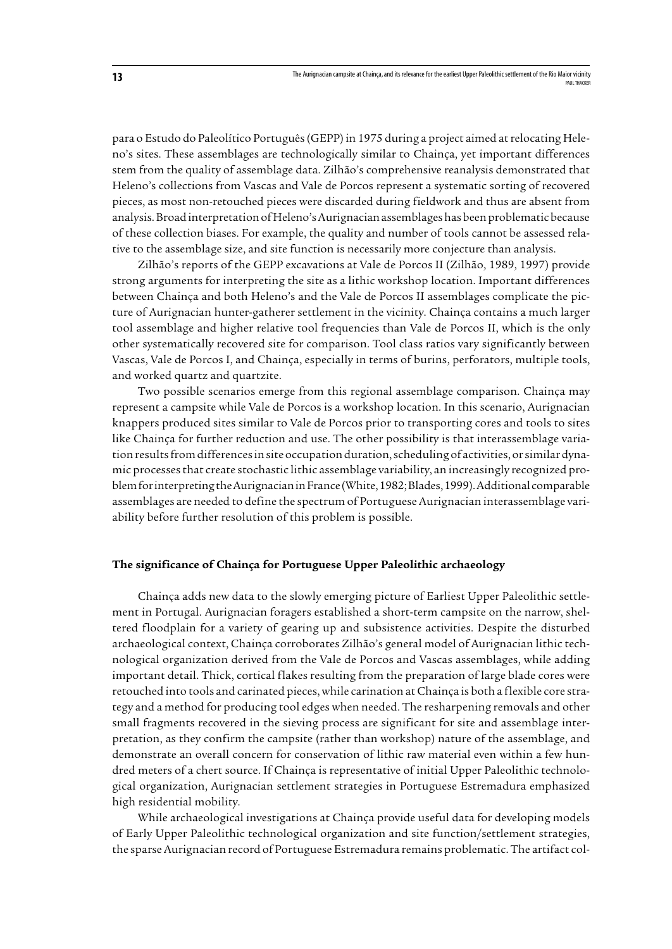para o Estudo do Paleolítico Português (GEPP) in 1975 during a project aimed at relocating Heleno's sites. These assemblages are technologically similar to Chainça, yet important differences stem from the quality of assemblage data. Zilhão's comprehensive reanalysis demonstrated that Heleno's collections from Vascas and Vale de Porcos represent a systematic sorting of recovered pieces, as most non-retouched pieces were discarded during fieldwork and thus are absent from analysis. Broad interpretation of Heleno's Aurignacian assemblages has been problematic because of these collection biases. For example, the quality and number of tools cannot be assessed relative to the assemblage size, and site function is necessarily more conjecture than analysis.

Zilhão's reports of the GEPP excavations at Vale de Porcos II (Zilhão, 1989, 1997) provide strong arguments for interpreting the site as a lithic workshop location. Important differences between Chainça and both Heleno's and the Vale de Porcos II assemblages complicate the picture of Aurignacian hunter-gatherer settlement in the vicinity. Chainça contains a much larger tool assemblage and higher relative tool frequencies than Vale de Porcos II, which is the only other systematically recovered site for comparison. Tool class ratios vary significantly between Vascas, Vale de Porcos I, and Chainça, especially in terms of burins, perforators, multiple tools, and worked quartz and quartzite.

Two possible scenarios emerge from this regional assemblage comparison. Chainça may represent a campsite while Vale de Porcos is a workshop location. In this scenario, Aurignacian knappers produced sites similar to Vale de Porcos prior to transporting cores and tools to sites like Chainça for further reduction and use. The other possibility is that interassemblage variation results from differences in site occupation duration, scheduling of activities, or similar dynamic processes that create stochastic lithic assemblage variability, an increasingly recognized problem for interpreting the Aurignacian in France (White, 1982; Blades, 1999). Additional comparable assemblages are needed to define the spectrum of Portuguese Aurignacian interassemblage variability before further resolution of this problem is possible.

## **The significance of Chainça for Portuguese Upper Paleolithic archaeology**

Chainça adds new data to the slowly emerging picture of Earliest Upper Paleolithic settlement in Portugal. Aurignacian foragers established a short-term campsite on the narrow, sheltered floodplain for a variety of gearing up and subsistence activities. Despite the disturbed archaeological context, Chainça corroborates Zilhão's general model of Aurignacian lithic technological organization derived from the Vale de Porcos and Vascas assemblages, while adding important detail. Thick, cortical flakes resulting from the preparation of large blade cores were retouched into tools and carinated pieces, while carination at Chainça is both a flexible core strategy and a method for producing tool edges when needed. The resharpening removals and other small fragments recovered in the sieving process are significant for site and assemblage interpretation, as they confirm the campsite (rather than workshop) nature of the assemblage, and demonstrate an overall concern for conservation of lithic raw material even within a few hundred meters of a chert source. If Chainça is representative of initial Upper Paleolithic technological organization, Aurignacian settlement strategies in Portuguese Estremadura emphasized high residential mobility.

While archaeological investigations at Chainça provide useful data for developing models of Early Upper Paleolithic technological organization and site function/settlement strategies, the sparse Aurignacian record of Portuguese Estremadura remains problematic. The artifact col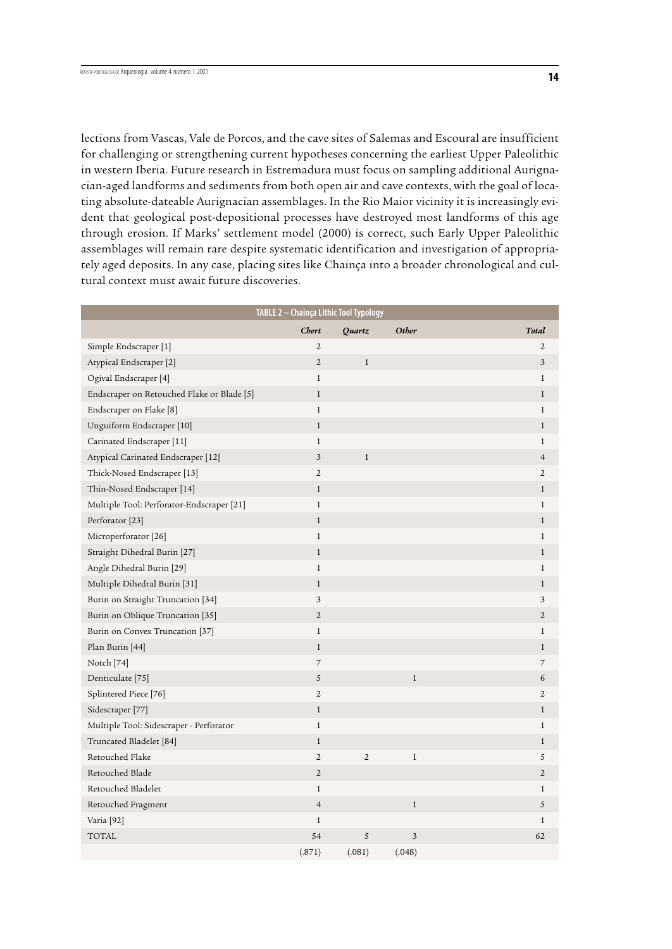lections from Vascas, Vale de Porcos, and the cave sites of Salemas and Escoural are insufficient for challenging or strengthening current hypotheses concerning the earliest Upper Paleolithic in western Iberia. Future research in Estremadura must focus on sampling additional Aurignacian-aged landforms and sediments from both open air and cave contexts, with the goal of locating absolute-dateable Aurignacian assemblages. In the Rio Maior vicinity it is increasingly evident that geological post-depositional processes have destroyed most landforms of this age through erosion. If Marks' settlement model (2000) is correct, such Early Upper Paleolithic assemblages will remain rare despite systematic identification and investigation of appropriately aged deposits. In any case, placing sites like Chainça into a broader chronological and cultural context must await future discoveries.

| TABLE 2 - Chainça Lithic Tool Typology     |                |                |        |                |  |  |  |  |  |
|--------------------------------------------|----------------|----------------|--------|----------------|--|--|--|--|--|
|                                            | <b>Chert</b>   | Quartz         | Other  | Total          |  |  |  |  |  |
| Simple Endscraper [1]                      | $\overline{2}$ |                |        | $\overline{2}$ |  |  |  |  |  |
| Atypical Endscraper [2]                    | $\overline{2}$ | $\mathbf{1}$   |        | 3              |  |  |  |  |  |
| Ogival Endscraper [4]                      | $1\,$          |                |        | $\mathbf{1}$   |  |  |  |  |  |
| Endscraper on Retouched Flake or Blade [5] | $\mathbf{1}$   |                |        | $\mathbf{1}$   |  |  |  |  |  |
| Endscraper on Flake [8]                    | $1\,$          |                |        | $\mathbf{1}$   |  |  |  |  |  |
| Unguiform Endscraper [10]                  | $\mathbf{1}$   |                |        | $\mathbf{1}$   |  |  |  |  |  |
| Carinated Endscraper [11]                  | $1\,$          |                |        | $\mathbf{1}$   |  |  |  |  |  |
| Atypical Carinated Endscraper [12]         | 3              | $\mathbf{1}$   |        | $\overline{4}$ |  |  |  |  |  |
| Thick-Nosed Endscraper [13]                | $\overline{2}$ |                |        | $\overline{2}$ |  |  |  |  |  |
| Thin-Nosed Endscraper [14]                 | $1\,$          |                |        | $\mathbf{1}$   |  |  |  |  |  |
| Multiple Tool: Perforator-Endscraper [21]  | $1\,$          |                |        | 1              |  |  |  |  |  |
| Perforator <sup>[23]</sup>                 | $1\,$          |                |        | $\mathbf{1}$   |  |  |  |  |  |
| Microperforator [26]                       | $1\,$          |                |        | $\mathbf{1}$   |  |  |  |  |  |
| Straight Dihedral Burin [27]               | $\mathbf{1}$   |                |        | $\mathbf{1}$   |  |  |  |  |  |
| Angle Dihedral Burin [29]                  | $1\,$          |                |        | $\mathbf{1}$   |  |  |  |  |  |
| Multiple Dihedral Burin [31]               | $\mathbf{1}$   |                |        | $\mathbf{1}$   |  |  |  |  |  |
| Burin on Straight Truncation [34]          | 3              |                |        | 3              |  |  |  |  |  |
| Burin on Oblique Truncation [35]           | $\overline{2}$ |                |        | $\overline{2}$ |  |  |  |  |  |
| Burin on Convex Truncation [37]            | $\mathbf{1}$   |                |        | $\mathbf{1}$   |  |  |  |  |  |
| Plan Burin [44]                            | $1\,$          |                |        | $\mathbf{1}$   |  |  |  |  |  |
| Notch <sup>[74]</sup>                      | $\overline{7}$ |                |        | 7              |  |  |  |  |  |
| Denticulate <sup>[75]</sup>                | $\sqrt{5}$     |                | $1\,$  | 6              |  |  |  |  |  |
| Splintered Piece <sup>[76]</sup>           | $\overline{2}$ |                |        | 2              |  |  |  |  |  |
| Sidescraper [77]                           | $1\,$          |                |        | $\mathbf{1}$   |  |  |  |  |  |
| Multiple Tool: Sidescraper - Perforator    | $1\,$          |                |        | $\mathbf{1}$   |  |  |  |  |  |
| Truncated Bladelet [84]                    | $\mathbf{1}$   |                |        | $\mathbf{1}$   |  |  |  |  |  |
| Retouched Flake                            | $\overline{2}$ | $\overline{2}$ | $1\,$  | 5              |  |  |  |  |  |
| Retouched Blade                            | $\sqrt{2}$     |                |        | $\mathbf{2}$   |  |  |  |  |  |
| Retouched Bladelet                         | $1\,$          |                |        | 1              |  |  |  |  |  |
| Retouched Fragment                         | $\overline{4}$ |                | $1\,$  | 5              |  |  |  |  |  |
| Varia [92]                                 | $1\,$          |                |        | $\mathbf{1}$   |  |  |  |  |  |
| <b>TOTAL</b>                               | 54             | 5              | 3      | 62             |  |  |  |  |  |
|                                            | (.871)         | (.081)         | (.048) |                |  |  |  |  |  |